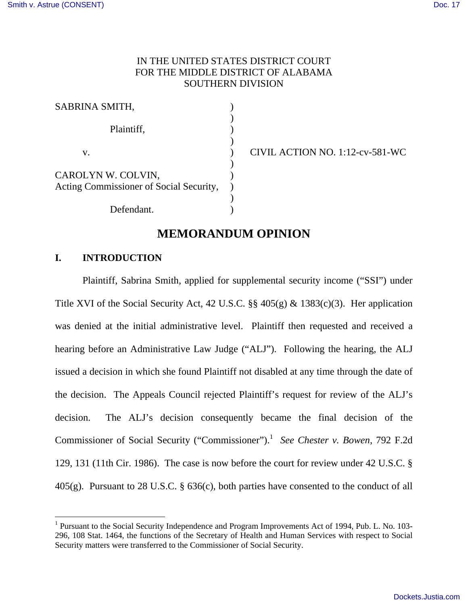$\overline{a}$ 

# IN THE UNITED STATES DISTRICT COURT FOR THE MIDDLE DISTRICT OF ALABAMA SOUTHERN DIVISION

| SABRINA SMITH,                          |  |
|-----------------------------------------|--|
|                                         |  |
| Plaintiff,                              |  |
|                                         |  |
| V.                                      |  |
|                                         |  |
| CAROLYN W. COLVIN,                      |  |
| Acting Commissioner of Social Security, |  |
|                                         |  |
| Defendant.                              |  |

CIVIL ACTION NO.  $1:12$ -cv-581-WC

# **MEMORANDUM OPINION**

## **I. INTRODUCTION**

 Plaintiff, Sabrina Smith, applied for supplemental security income ("SSI") under Title XVI of the Social Security Act, 42 U.S.C. §§ 405(g) & 1383(c)(3). Her application was denied at the initial administrative level. Plaintiff then requested and received a hearing before an Administrative Law Judge ("ALJ"). Following the hearing, the ALJ issued a decision in which she found Plaintiff not disabled at any time through the date of the decision. The Appeals Council rejected Plaintiff's request for review of the ALJ's decision. The ALJ's decision consequently became the final decision of the Commissioner of Social Security ("Commissioner").<sup>1</sup> See Chester v. Bowen, 792 F.2d 129, 131 (11th Cir. 1986). The case is now before the court for review under 42 U.S.C. § 405(g). Pursuant to 28 U.S.C. § 636(c), both parties have consented to the conduct of all

<sup>&</sup>lt;sup>1</sup> Pursuant to the Social Security Independence and Program Improvements Act of 1994, Pub. L. No. 103-296, 108 Stat. 1464, the functions of the Secretary of Health and Human Services with respect to Social Security matters were transferred to the Commissioner of Social Security.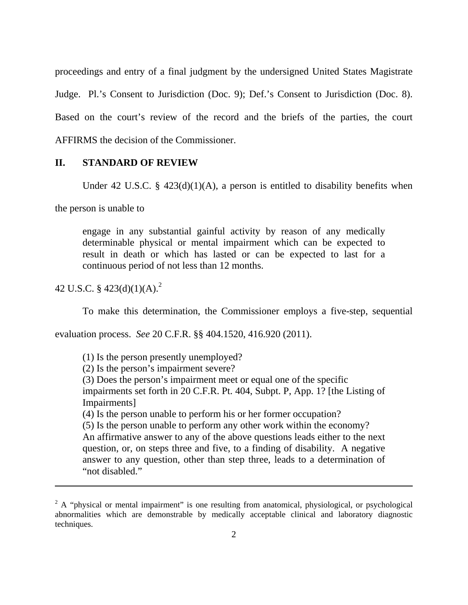proceedings and entry of a final judgment by the undersigned United States Magistrate Judge. Pl.'s Consent to Jurisdiction (Doc. 9); Def.'s Consent to Jurisdiction (Doc. 8). Based on the court's review of the record and the briefs of the parties, the court AFFIRMS the decision of the Commissioner.

#### **II. STANDARD OF REVIEW**

Under 42 U.S.C. §  $423(d)(1)(A)$ , a person is entitled to disability benefits when

the person is unable to

engage in any substantial gainful activity by reason of any medically determinable physical or mental impairment which can be expected to result in death or which has lasted or can be expected to last for a continuous period of not less than 12 months.

42 U.S.C. §  $423(d)(1)(A)<sup>2</sup>$ 

<u>.</u>

To make this determination, the Commissioner employs a five-step, sequential

evaluation process. *See* 20 C.F.R. §§ 404.1520, 416.920 (2011).

(1) Is the person presently unemployed?

(2) Is the person's impairment severe?

(3) Does the person's impairment meet or equal one of the specific impairments set forth in 20 C.F.R. Pt. 404, Subpt. P, App. 1? [the Listing of Impairments]

(4) Is the person unable to perform his or her former occupation?

(5) Is the person unable to perform any other work within the economy? An affirmative answer to any of the above questions leads either to the next question, or, on steps three and five, to a finding of disability. A negative answer to any question, other than step three, leads to a determination of "not disabled."

 $2^2$  A "physical or mental impairment" is one resulting from anatomical, physiological, or psychological abnormalities which are demonstrable by medically acceptable clinical and laboratory diagnostic techniques.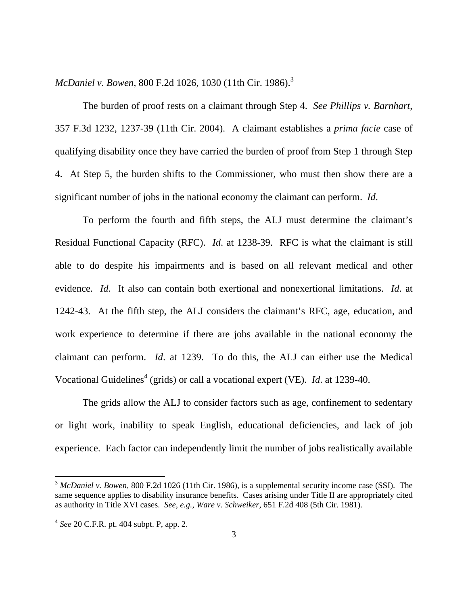*McDaniel v. Bowen, 800 F.2d 1026, 1030 (11th Cir. 1986).*<sup>3</sup>

 The burden of proof rests on a claimant through Step 4. *See Phillips v. Barnhart*, 357 F.3d 1232, 1237-39 (11th Cir. 2004). A claimant establishes a *prima facie* case of qualifying disability once they have carried the burden of proof from Step 1 through Step 4. At Step 5, the burden shifts to the Commissioner, who must then show there are a significant number of jobs in the national economy the claimant can perform. *Id*.

 To perform the fourth and fifth steps, the ALJ must determine the claimant's Residual Functional Capacity (RFC). *Id*. at 1238-39. RFC is what the claimant is still able to do despite his impairments and is based on all relevant medical and other evidence. *Id*. It also can contain both exertional and nonexertional limitations. *Id*. at 1242-43. At the fifth step, the ALJ considers the claimant's RFC, age, education, and work experience to determine if there are jobs available in the national economy the claimant can perform. *Id*. at 1239. To do this, the ALJ can either use the Medical Vocational Guidelines<sup>4</sup> (grids) or call a vocational expert (VE). *Id.* at 1239-40.

 The grids allow the ALJ to consider factors such as age, confinement to sedentary or light work, inability to speak English, educational deficiencies, and lack of job experience. Each factor can independently limit the number of jobs realistically available

 $\overline{a}$ 

<sup>3</sup> *McDaniel v. Bowen*, 800 F.2d 1026 (11th Cir. 1986), is a supplemental security income case (SSI). The same sequence applies to disability insurance benefits. Cases arising under Title II are appropriately cited as authority in Title XVI cases. *See, e.g.*, *Ware v. Schweiker*, 651 F.2d 408 (5th Cir. 1981).

<sup>4</sup> *See* 20 C.F.R. pt. 404 subpt. P, app. 2.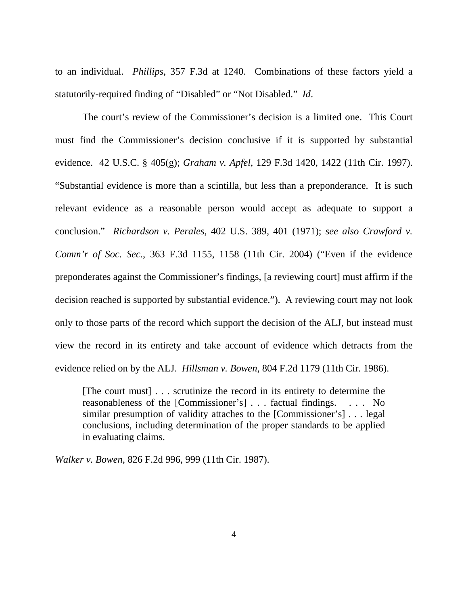to an individual. *Phillips*, 357 F.3d at 1240. Combinations of these factors yield a statutorily-required finding of "Disabled" or "Not Disabled." *Id*.

 The court's review of the Commissioner's decision is a limited one. This Court must find the Commissioner's decision conclusive if it is supported by substantial evidence. 42 U.S.C. § 405(g); *Graham v. Apfel*, 129 F.3d 1420, 1422 (11th Cir. 1997). "Substantial evidence is more than a scintilla, but less than a preponderance. It is such relevant evidence as a reasonable person would accept as adequate to support a conclusion." *Richardson v. Perales*, 402 U.S. 389, 401 (1971); *see also Crawford v. Comm'r of Soc. Sec.*, 363 F.3d 1155, 1158 (11th Cir. 2004) ("Even if the evidence preponderates against the Commissioner's findings, [a reviewing court] must affirm if the decision reached is supported by substantial evidence."). A reviewing court may not look only to those parts of the record which support the decision of the ALJ, but instead must view the record in its entirety and take account of evidence which detracts from the evidence relied on by the ALJ. *Hillsman v. Bowen*, 804 F.2d 1179 (11th Cir. 1986).

[The court must] . . . scrutinize the record in its entirety to determine the reasonableness of the [Commissioner's] . . . factual findings. . . . No similar presumption of validity attaches to the [Commissioner's] . . . legal conclusions, including determination of the proper standards to be applied in evaluating claims.

*Walker v. Bowen*, 826 F.2d 996, 999 (11th Cir. 1987).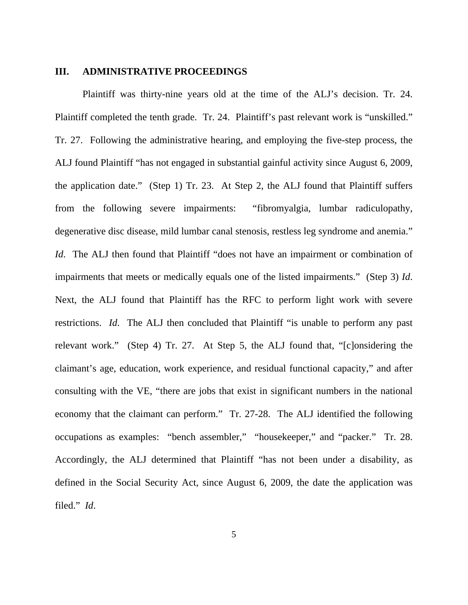### **III. ADMINISTRATIVE PROCEEDINGS**

 Plaintiff was thirty-nine years old at the time of the ALJ's decision. Tr. 24. Plaintiff completed the tenth grade. Tr. 24. Plaintiff's past relevant work is "unskilled." Tr. 27. Following the administrative hearing, and employing the five-step process, the ALJ found Plaintiff "has not engaged in substantial gainful activity since August 6, 2009, the application date." (Step 1) Tr. 23. At Step 2, the ALJ found that Plaintiff suffers from the following severe impairments: "fibromyalgia, lumbar radiculopathy, degenerative disc disease, mild lumbar canal stenosis, restless leg syndrome and anemia." *Id.* The ALJ then found that Plaintiff "does not have an impairment or combination of impairments that meets or medically equals one of the listed impairments." (Step 3) *Id*. Next, the ALJ found that Plaintiff has the RFC to perform light work with severe restrictions. *Id*. The ALJ then concluded that Plaintiff "is unable to perform any past relevant work." (Step 4) Tr. 27. At Step 5, the ALJ found that, "[c]onsidering the claimant's age, education, work experience, and residual functional capacity," and after consulting with the VE, "there are jobs that exist in significant numbers in the national economy that the claimant can perform." Tr. 27-28. The ALJ identified the following occupations as examples: "bench assembler," "housekeeper," and "packer." Tr. 28. Accordingly, the ALJ determined that Plaintiff "has not been under a disability, as defined in the Social Security Act, since August 6, 2009, the date the application was filed." *Id*.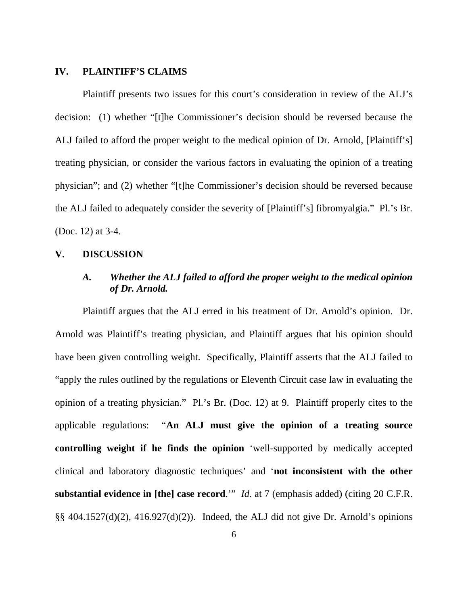### **IV. PLAINTIFF'S CLAIMS**

 Plaintiff presents two issues for this court's consideration in review of the ALJ's decision: (1) whether "[t]he Commissioner's decision should be reversed because the ALJ failed to afford the proper weight to the medical opinion of Dr. Arnold, [Plaintiff's] treating physician, or consider the various factors in evaluating the opinion of a treating physician"; and (2) whether "[t]he Commissioner's decision should be reversed because the ALJ failed to adequately consider the severity of [Plaintiff's] fibromyalgia." Pl.'s Br. (Doc. 12) at 3-4.

### **V. DISCUSSION**

## *A. Whether the ALJ failed to afford the proper weight to the medical opinion of Dr. Arnold.*

 Plaintiff argues that the ALJ erred in his treatment of Dr. Arnold's opinion. Dr. Arnold was Plaintiff's treating physician, and Plaintiff argues that his opinion should have been given controlling weight. Specifically, Plaintiff asserts that the ALJ failed to "apply the rules outlined by the regulations or Eleventh Circuit case law in evaluating the opinion of a treating physician." Pl.'s Br. (Doc. 12) at 9. Plaintiff properly cites to the applicable regulations: "**An ALJ must give the opinion of a treating source controlling weight if he finds the opinion** 'well-supported by medically accepted clinical and laboratory diagnostic techniques' and '**not inconsistent with the other substantial evidence in [the] case record**.'" *Id.* at 7 (emphasis added) (citing 20 C.F.R.  $\S$ § 404.1527(d)(2), 416.927(d)(2)). Indeed, the ALJ did not give Dr. Arnold's opinions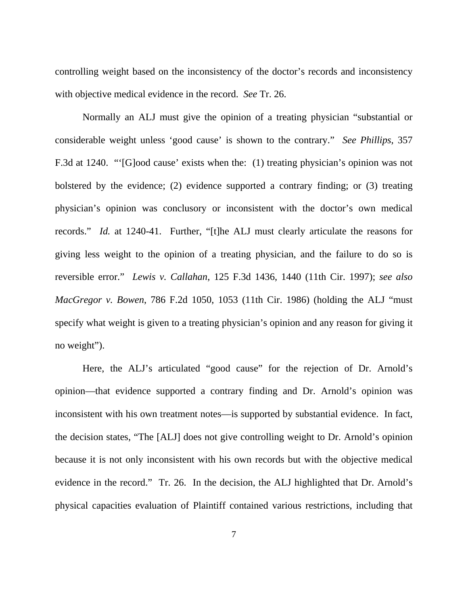controlling weight based on the inconsistency of the doctor's records and inconsistency with objective medical evidence in the record. *See* Tr. 26.

 Normally an ALJ must give the opinion of a treating physician "substantial or considerable weight unless 'good cause' is shown to the contrary." *See Phillips*, 357 F.3d at 1240. "'[G]ood cause' exists when the: (1) treating physician's opinion was not bolstered by the evidence; (2) evidence supported a contrary finding; or (3) treating physician's opinion was conclusory or inconsistent with the doctor's own medical records." *Id.* at 1240-41. Further, "[t]he ALJ must clearly articulate the reasons for giving less weight to the opinion of a treating physician, and the failure to do so is reversible error." *Lewis v. Callahan*, 125 F.3d 1436, 1440 (11th Cir. 1997); *see also MacGregor v. Bowen*, 786 F.2d 1050, 1053 (11th Cir. 1986) (holding the ALJ "must specify what weight is given to a treating physician's opinion and any reason for giving it no weight").

 Here, the ALJ's articulated "good cause" for the rejection of Dr. Arnold's opinion—that evidence supported a contrary finding and Dr. Arnold's opinion was inconsistent with his own treatment notes—is supported by substantial evidence. In fact, the decision states, "The [ALJ] does not give controlling weight to Dr. Arnold's opinion because it is not only inconsistent with his own records but with the objective medical evidence in the record." Tr. 26. In the decision, the ALJ highlighted that Dr. Arnold's physical capacities evaluation of Plaintiff contained various restrictions, including that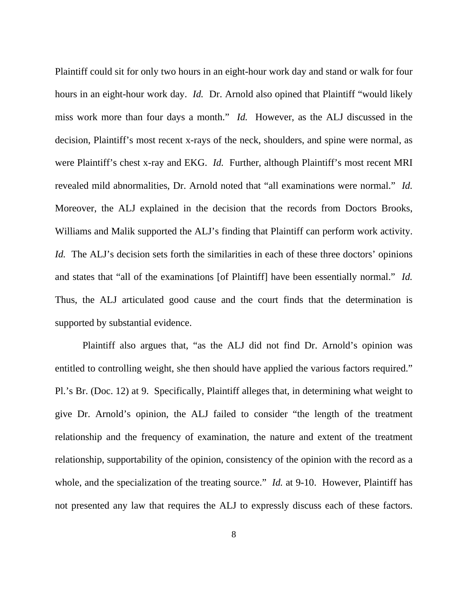Plaintiff could sit for only two hours in an eight-hour work day and stand or walk for four hours in an eight-hour work day. *Id.* Dr. Arnold also opined that Plaintiff "would likely miss work more than four days a month." *Id.* However, as the ALJ discussed in the decision, Plaintiff's most recent x-rays of the neck, shoulders, and spine were normal, as were Plaintiff's chest x-ray and EKG. *Id.* Further, although Plaintiff's most recent MRI revealed mild abnormalities, Dr. Arnold noted that "all examinations were normal." *Id.* Moreover, the ALJ explained in the decision that the records from Doctors Brooks, Williams and Malik supported the ALJ's finding that Plaintiff can perform work activity. *Id.* The ALJ's decision sets forth the similarities in each of these three doctors' opinions and states that "all of the examinations [of Plaintiff] have been essentially normal." *Id.* Thus, the ALJ articulated good cause and the court finds that the determination is supported by substantial evidence.

 Plaintiff also argues that, "as the ALJ did not find Dr. Arnold's opinion was entitled to controlling weight, she then should have applied the various factors required." Pl.'s Br. (Doc. 12) at 9. Specifically, Plaintiff alleges that, in determining what weight to give Dr. Arnold's opinion, the ALJ failed to consider "the length of the treatment relationship and the frequency of examination, the nature and extent of the treatment relationship, supportability of the opinion, consistency of the opinion with the record as a whole, and the specialization of the treating source." *Id.* at 9-10. However, Plaintiff has not presented any law that requires the ALJ to expressly discuss each of these factors.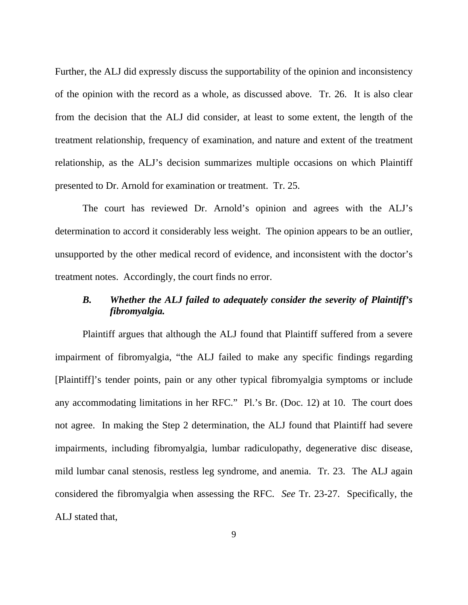Further, the ALJ did expressly discuss the supportability of the opinion and inconsistency of the opinion with the record as a whole, as discussed above. Tr. 26. It is also clear from the decision that the ALJ did consider, at least to some extent, the length of the treatment relationship, frequency of examination, and nature and extent of the treatment relationship, as the ALJ's decision summarizes multiple occasions on which Plaintiff presented to Dr. Arnold for examination or treatment. Tr. 25.

 The court has reviewed Dr. Arnold's opinion and agrees with the ALJ's determination to accord it considerably less weight. The opinion appears to be an outlier, unsupported by the other medical record of evidence, and inconsistent with the doctor's treatment notes. Accordingly, the court finds no error.

# *B. Whether the ALJ failed to adequately consider the severity of Plaintiff's fibromyalgia.*

 Plaintiff argues that although the ALJ found that Plaintiff suffered from a severe impairment of fibromyalgia, "the ALJ failed to make any specific findings regarding [Plaintiff]'s tender points, pain or any other typical fibromyalgia symptoms or include any accommodating limitations in her RFC." Pl.'s Br. (Doc. 12) at 10. The court does not agree. In making the Step 2 determination, the ALJ found that Plaintiff had severe impairments, including fibromyalgia, lumbar radiculopathy, degenerative disc disease, mild lumbar canal stenosis, restless leg syndrome, and anemia. Tr. 23. The ALJ again considered the fibromyalgia when assessing the RFC. *See* Tr. 23-27. Specifically, the ALJ stated that,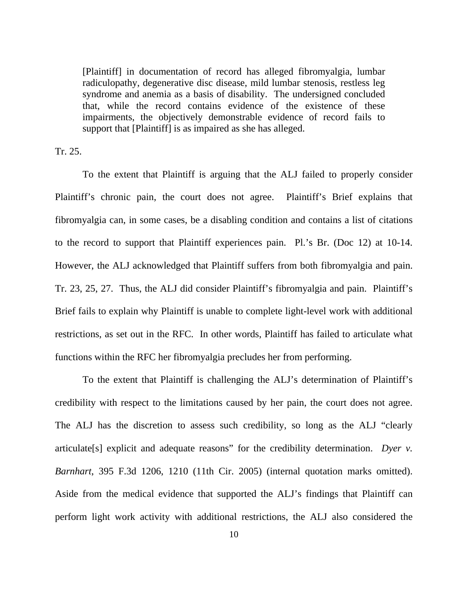[Plaintiff] in documentation of record has alleged fibromyalgia, lumbar radiculopathy, degenerative disc disease, mild lumbar stenosis, restless leg syndrome and anemia as a basis of disability. The undersigned concluded that, while the record contains evidence of the existence of these impairments, the objectively demonstrable evidence of record fails to support that [Plaintiff] is as impaired as she has alleged.

Tr. 25.

To the extent that Plaintiff is arguing that the ALJ failed to properly consider Plaintiff's chronic pain, the court does not agree. Plaintiff's Brief explains that fibromyalgia can, in some cases, be a disabling condition and contains a list of citations to the record to support that Plaintiff experiences pain. Pl.'s Br. (Doc 12) at 10-14. However, the ALJ acknowledged that Plaintiff suffers from both fibromyalgia and pain. Tr. 23, 25, 27. Thus, the ALJ did consider Plaintiff's fibromyalgia and pain. Plaintiff's Brief fails to explain why Plaintiff is unable to complete light-level work with additional restrictions, as set out in the RFC. In other words, Plaintiff has failed to articulate what functions within the RFC her fibromyalgia precludes her from performing.

To the extent that Plaintiff is challenging the ALJ's determination of Plaintiff's credibility with respect to the limitations caused by her pain, the court does not agree. The ALJ has the discretion to assess such credibility, so long as the ALJ "clearly articulate[s] explicit and adequate reasons" for the credibility determination. *Dyer v. Barnhart*, 395 F.3d 1206, 1210 (11th Cir. 2005) (internal quotation marks omitted). Aside from the medical evidence that supported the ALJ's findings that Plaintiff can perform light work activity with additional restrictions, the ALJ also considered the